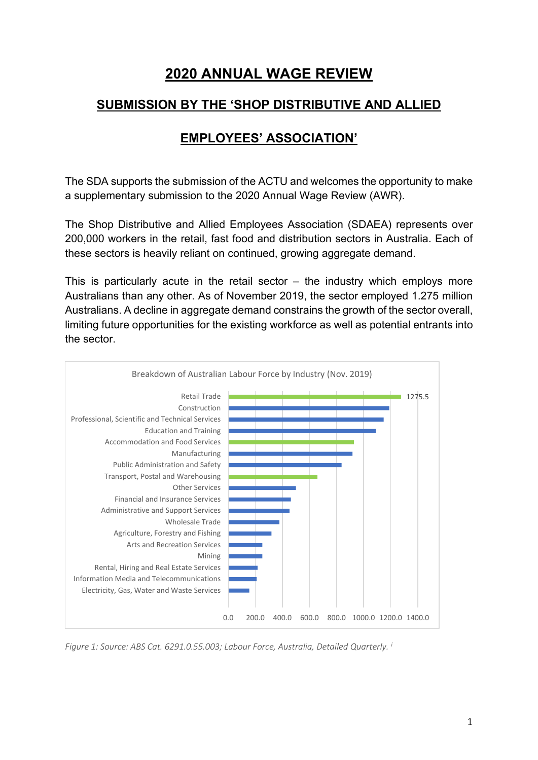# **2020 ANNUAL WAGE REVIEW**

### **SUBMISSION BY THE 'SHOP DISTRIBUTIVE AND ALLIED**

## **EMPLOYEES' ASSOCIATION'**

The SDA supports the submission of the ACTU and welcomes the opportunity to make a supplementary submission to the 2020 Annual Wage Review (AWR).

The Shop Distributive and Allied Employees Association (SDAEA) represents over 200,000 workers in the retail, fast food and distribution sectors in Australia. Each of these sectors is heavily reliant on continued, growing aggregate demand.

This is particularly acute in the retail sector  $-$  the industry which employs more Australians than any other. As of November 2019, the sector employed 1.275 million Australians. A decline in aggregate demand constrains the growth of the sector overall, limiting future opportunities for the existing workforce as well as potential entrants into the sector.



*Figure 1: Source: ABS Cat. 6291.0.55.003; Labour Force, Australia, Detailed Quarterly. [i](#page-11-0)*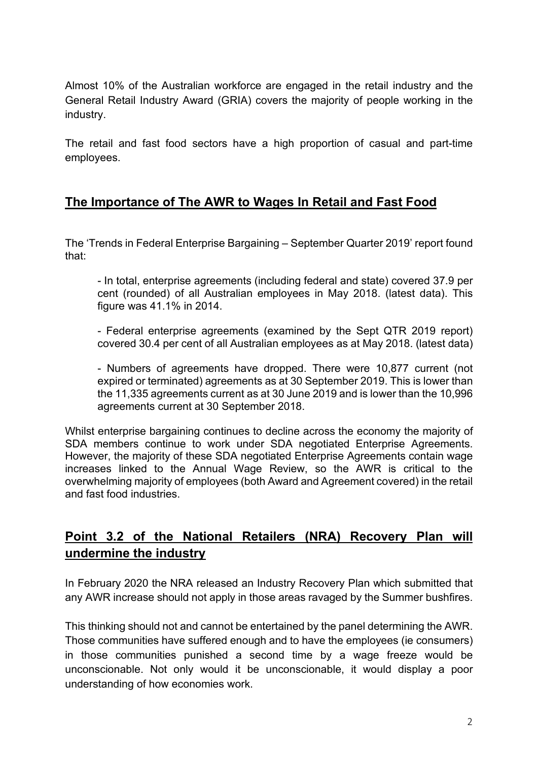Almost 10% of the Australian workforce are engaged in the retail industry and the General Retail Industry Award (GRIA) covers the majority of people working in the industry.

The retail and fast food sectors have a high proportion of casual and part-time employees.

## **The Importance of The AWR to Wages In Retail and Fast Food**

The 'Trends in Federal Enterprise Bargaining – September Quarter 2019' report found that:

- In total, enterprise agreements (including federal and state) covered 37.9 per cent (rounded) of all Australian employees in May 2018. (latest data). This figure was 41.1% in 2014.

- Federal enterprise agreements (examined by the Sept QTR 2019 report) covered 30.4 per cent of all Australian employees as at May 2018. (latest data)

- Numbers of agreements have dropped. There were 10,877 current (not expired or terminated) agreements as at 30 September 2019. This is lower than the 11,335 agreements current as at 30 June 2019 and is lower than the 10,996 agreements current at 30 September 2018.

Whilst enterprise bargaining continues to decline across the economy the majority of SDA members continue to work under SDA negotiated Enterprise Agreements. However, the majority of these SDA negotiated Enterprise Agreements contain wage increases linked to the Annual Wage Review, so the AWR is critical to the overwhelming majority of employees (both Award and Agreement covered) in the retail and fast food industries.

## **Point 3.2 of the National Retailers (NRA) Recovery Plan will undermine the industry**

In February 2020 the NRA released an Industry Recovery Plan which submitted that any AWR increase should not apply in those areas rayaged by the Summer bushfires.

This thinking should not and cannot be entertained by the panel determining the AWR. Those communities have suffered enough and to have the employees (ie consumers) in those communities punished a second time by a wage freeze would be unconscionable. Not only would it be unconscionable, it would display a poor understanding of how economies work.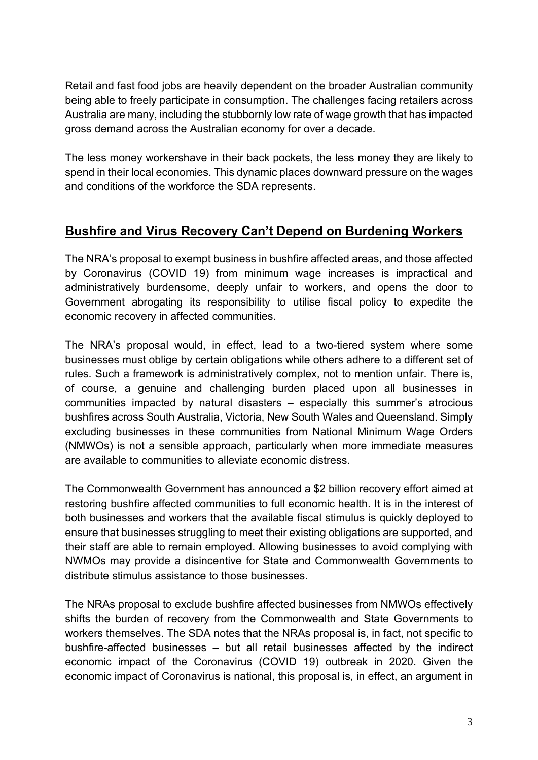Retail and fast food jobs are heavily dependent on the broader Australian community being able to freely participate in consumption. The challenges facing retailers across Australia are many, including the stubbornly low rate of wage growth that has impacted gross demand across the Australian economy for over a decade.

The less money workershave in their back pockets, the less money they are likely to spend in their local economies. This dynamic places downward pressure on the wages and conditions of the workforce the SDA represents.

## **Bushfire and Virus Recovery Can't Depend on Burdening Workers**

The NRA's proposal to exempt business in bushfire affected areas, and those affected by Coronavirus (COVID 19) from minimum wage increases is impractical and administratively burdensome, deeply unfair to workers, and opens the door to Government abrogating its responsibility to utilise fiscal policy to expedite the economic recovery in affected communities.

The NRA's proposal would, in effect, lead to a two-tiered system where some businesses must oblige by certain obligations while others adhere to a different set of rules. Such a framework is administratively complex, not to mention unfair. There is, of course, a genuine and challenging burden placed upon all businesses in communities impacted by natural disasters – especially this summer's atrocious bushfires across South Australia, Victoria, New South Wales and Queensland. Simply excluding businesses in these communities from National Minimum Wage Orders (NMWOs) is not a sensible approach, particularly when more immediate measures are available to communities to alleviate economic distress.

The Commonwealth Government has announced a \$2 billion recovery effort aimed at restoring bushfire affected communities to full economic health. It is in the interest of both businesses and workers that the available fiscal stimulus is quickly deployed to ensure that businesses struggling to meet their existing obligations are supported, and their staff are able to remain employed. Allowing businesses to avoid complying with NWMOs may provide a disincentive for State and Commonwealth Governments to distribute stimulus assistance to those businesses.

The NRAs proposal to exclude bushfire affected businesses from NMWOs effectively shifts the burden of recovery from the Commonwealth and State Governments to workers themselves. The SDA notes that the NRAs proposal is, in fact, not specific to bushfire-affected businesses – but all retail businesses affected by the indirect economic impact of the Coronavirus (COVID 19) outbreak in 2020. Given the economic impact of Coronavirus is national, this proposal is, in effect, an argument in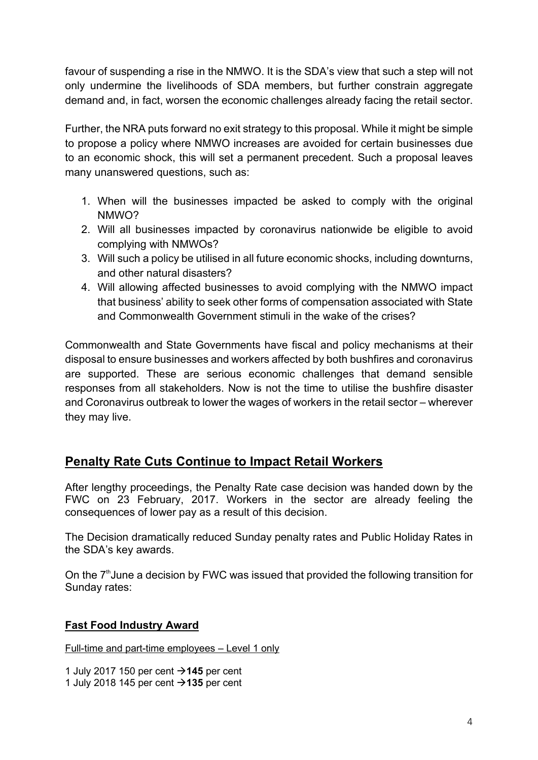favour of suspending a rise in the NMWO. It is the SDA's view that such a step will not only undermine the livelihoods of SDA members, but further constrain aggregate demand and, in fact, worsen the economic challenges already facing the retail sector.

Further, the NRA puts forward no exit strategy to this proposal. While it might be simple to propose a policy where NMWO increases are avoided for certain businesses due to an economic shock, this will set a permanent precedent. Such a proposal leaves many unanswered questions, such as:

- 1. When will the businesses impacted be asked to comply with the original NMWO?
- 2. Will all businesses impacted by coronavirus nationwide be eligible to avoid complying with NMWOs?
- 3. Will such a policy be utilised in all future economic shocks, including downturns, and other natural disasters?
- 4. Will allowing affected businesses to avoid complying with the NMWO impact that business' ability to seek other forms of compensation associated with State and Commonwealth Government stimuli in the wake of the crises?

Commonwealth and State Governments have fiscal and policy mechanisms at their disposal to ensure businesses and workers affected by both bushfires and coronavirus are supported. These are serious economic challenges that demand sensible responses from all stakeholders. Now is not the time to utilise the bushfire disaster and Coronavirus outbreak to lower the wages of workers in the retail sector – wherever they may live.

## **Penalty Rate Cuts Continue to Impact Retail Workers**

After lengthy proceedings, the Penalty Rate case decision was handed down by the FWC on 23 February, 2017. Workers in the sector are already feeling the consequences of lower pay as a result of this decision.

The Decision dramatically reduced Sunday penalty rates and Public Holiday Rates in the SDA's key awards.

On the  $7<sup>th</sup>$ June a decision by FWC was issued that provided the following transition for Sunday rates:

### **Fast Food Industry Award**

Full-time and part-time employees – Level 1 only

1 July 2017 150 per cent **145** per cent 1 July 2018 145 per cent **135** per cent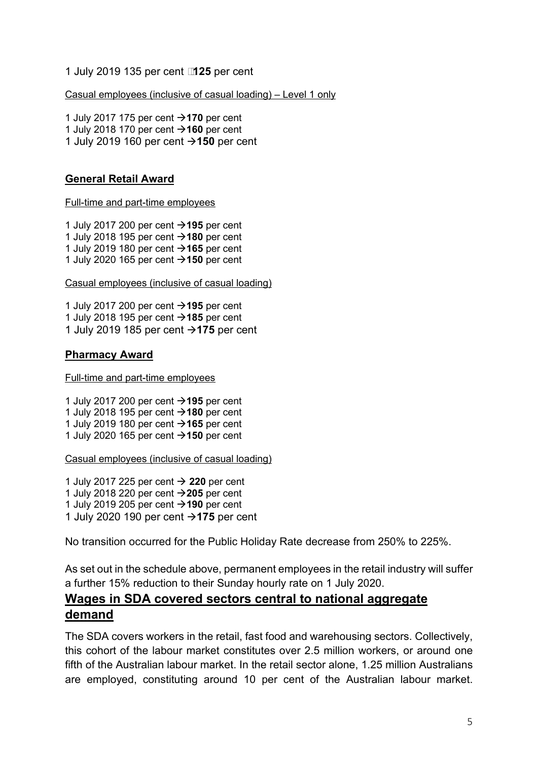#### 1 July 2019 135 per cent **125** per cent

Casual employees (inclusive of casual loading) – Level 1 only

1 July 2017 175 per cent → 170 per cent 1 July 2018 170 per cent  $\rightarrow$  **160** per cent 1 July 2019 160 per cent **150** per cent

#### **General Retail Award**

Full-time and part-time employees

1 July 2017 200 per cent **195** per cent 1 July 2018 195 per cent  $\rightarrow$  **180** per cent 1 July 2019 180 per cent **+165** per cent 1 July 2020 165 per cent  $\rightarrow$  **150** per cent

Casual employees (inclusive of casual loading)

1 July 2017 200 per cent **195** per cent 1 July 2018 195 per cent  $\rightarrow$  **185** per cent 1 July 2019 185 per cent **175** per cent

#### **Pharmacy Award**

Full-time and part-time employees

1 July 2017 200 per cent **195** per cent 1 July 2018 195 per cent  $\rightarrow$  **180** per cent 1 July 2019 180 per cent  $\rightarrow$  **165** per cent 1 July 2020 165 per cent **150** per cent

Casual employees (inclusive of casual loading)

1 July 2017 225 per cent **220** per cent 1 July 2018 220 per cent **205** per cent 1 July 2019 205 per cent  $\rightarrow$  **190** per cent 1 July 2020 190 per cent **175** per cent

No transition occurred for the Public Holiday Rate decrease from 250% to 225%.

As set out in the schedule above, permanent employees in the retail industry will suffer a further 15% reduction to their Sunday hourly rate on 1 July 2020.

### **Wages in SDA covered sectors central to national aggregate demand**

The SDA covers workers in the retail, fast food and warehousing sectors. Collectively, this cohort of the labour market constitutes over 2.5 million workers, or around one fifth of the Australian labour market. In the retail sector alone, 1.25 million Australians are employed, constituting around 10 per cent of the Australian labour market.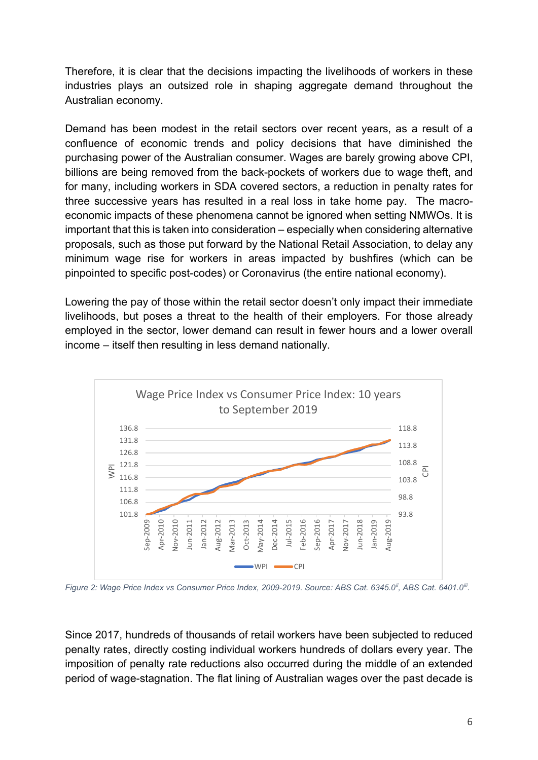Therefore, it is clear that the decisions impacting the livelihoods of workers in these industries plays an outsized role in shaping aggregate demand throughout the Australian economy.

Demand has been modest in the retail sectors over recent years, as a result of a confluence of economic trends and policy decisions that have diminished the purchasing power of the Australian consumer. Wages are barely growing above CPI, billions are being removed from the back-pockets of workers due to wage theft, and for many, including workers in SDA covered sectors, a reduction in penalty rates for three successive years has resulted in a real loss in take home pay. The macroeconomic impacts of these phenomena cannot be ignored when setting NMWOs. It is important that this is taken into consideration – especially when considering alternative proposals, such as those put forward by the National Retail Association, to delay any minimum wage rise for workers in areas impacted by bushfires (which can be pinpointed to specific post-codes) or Coronavirus (the entire national economy).

Lowering the pay of those within the retail sector doesn't only impact their immediate livelihoods, but poses a threat to the health of their employers. For those already employed in the sector, lower demand can result in fewer hours and a lower overall income – itself then resulting in less demand nationally.



*Figure 2: Wage Price Index vs Consumer Price Index, 2009-2019. Source: ABS Cat. 6345.0[ii,](#page-11-1) ABS Cat. 6401.0[iii](#page-11-2).* 

Since 2017, hundreds of thousands of retail workers have been subjected to reduced penalty rates, directly costing individual workers hundreds of dollars every year. The imposition of penalty rate reductions also occurred during the middle of an extended period of wage-stagnation. The flat lining of Australian wages over the past decade is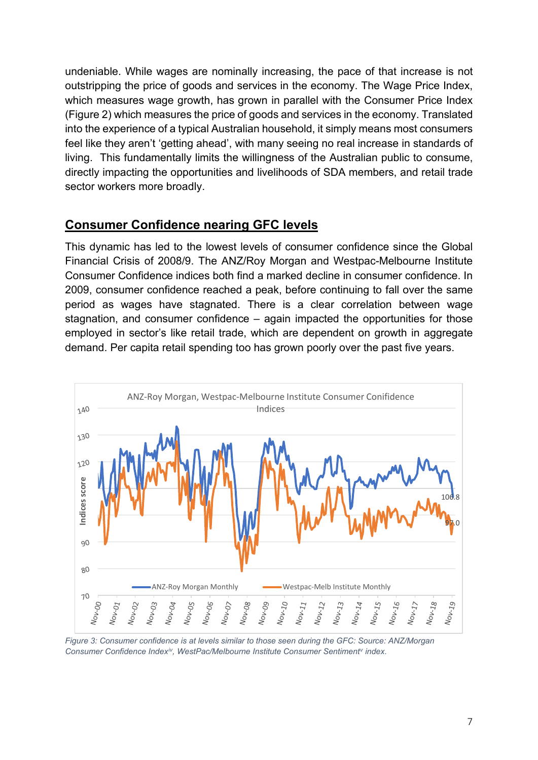undeniable. While wages are nominally increasing, the pace of that increase is not outstripping the price of goods and services in the economy. The Wage Price Index, which measures wage growth, has grown in parallel with the Consumer Price Index (Figure 2) which measures the price of goods and services in the economy. Translated into the experience of a typical Australian household, it simply means most consumers feel like they aren't 'getting ahead', with many seeing no real increase in standards of living. This fundamentally limits the willingness of the Australian public to consume, directly impacting the opportunities and livelihoods of SDA members, and retail trade sector workers more broadly.

### **Consumer Confidence nearing GFC levels**

This dynamic has led to the lowest levels of consumer confidence since the Global Financial Crisis of 2008/9. The ANZ/Roy Morgan and Westpac-Melbourne Institute Consumer Confidence indices both find a marked decline in consumer confidence. In 2009, consumer confidence reached a peak, before continuing to fall over the same period as wages have stagnated. There is a clear correlation between wage stagnation, and consumer confidence – again impacted the opportunities for those employed in sector's like retail trade, which are dependent on growth in aggregate demand. Per capita retail spending too has grown poorly over the past five years.



*Figure 3: Consumer confidence is at levels similar to those seen during the GFC: Source: ANZ/Morgan Consumer Confidence Index[iv,](#page-11-3) WestPac/Melbourne Institute Consumer Sentiment[v](#page-11-4) index.*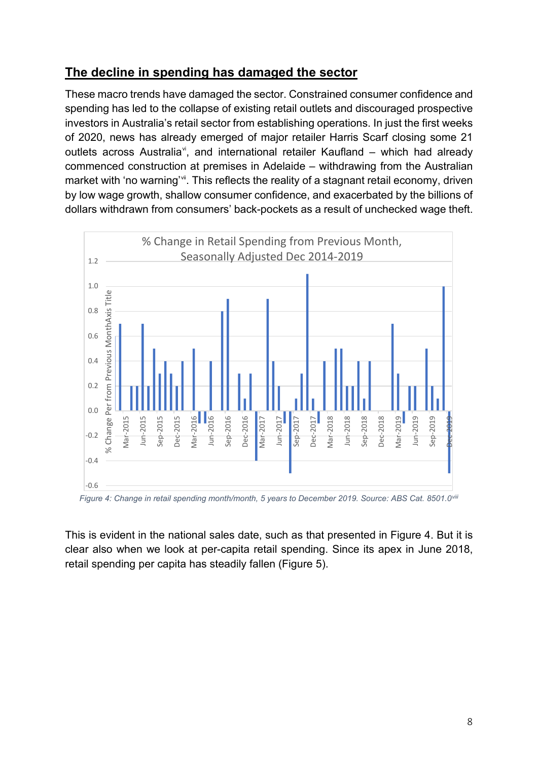### **The decline in spending has damaged the sector**

These macro trends have damaged the sector. Constrained consumer confidence and spending has led to the collapse of existing retail outlets and discouraged prospective investors in Australia's retail sector from establishing operations. In just the first weeks of 2020, news has already emerged of major retailer Harris Scarf closing some 21 outlets across Australia<sup>v</sup>, and international retailer Kaufland – which had already commenced construction at premises in Adelaide – withdrawing from the Australian market with 'no warning'<sup>[vii](#page-11-6)</sup>. This reflects the reality of a stagnant retail economy, driven by low wage growth, shallow consumer confidence, and exacerbated by the billions of dollars withdrawn from consumers' back-pockets as a result of unchecked wage theft.



*Figure 4: Change in retail spending month/month, 5 years to December 2019. Source: ABS Cat. 8501.0[viii](#page-11-7)*

This is evident in the national sales date, such as that presented in Figure 4. But it is clear also when we look at per-capita retail spending. Since its apex in June 2018, retail spending per capita has steadily fallen (Figure 5).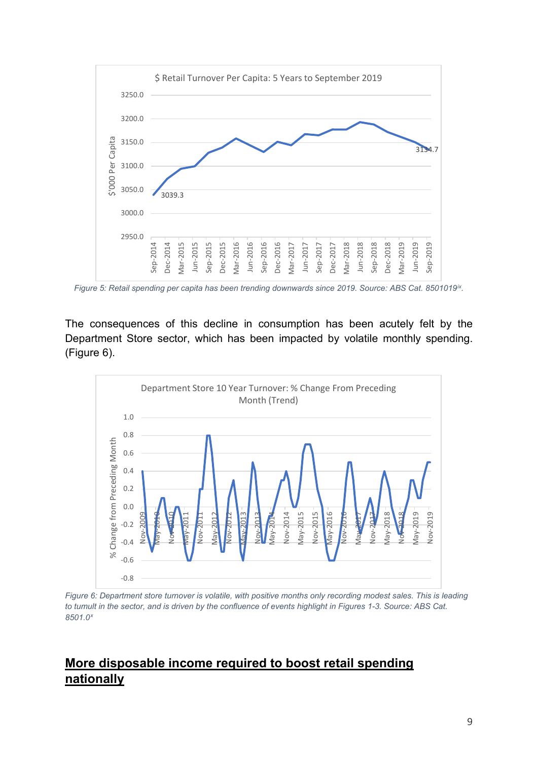

*Figure 5: Retail spending per capita has been trending downwards since 2019. Source: ABS Cat. 8501019[ix.](#page-11-8)*

The consequences of this decline in consumption has been acutely felt by the Department Store sector, which has been impacted by volatile monthly spending. (Figure 6).



*Figure 6: Department store turnover is volatile, with positive months only recording modest sales. This is leading to tumult in the sector, and is driven by the confluence of events highlight in Figures 1-3. Source: ABS Cat. 8501.0[x](#page-11-9)*

## **More disposable income required to boost retail spending nationally**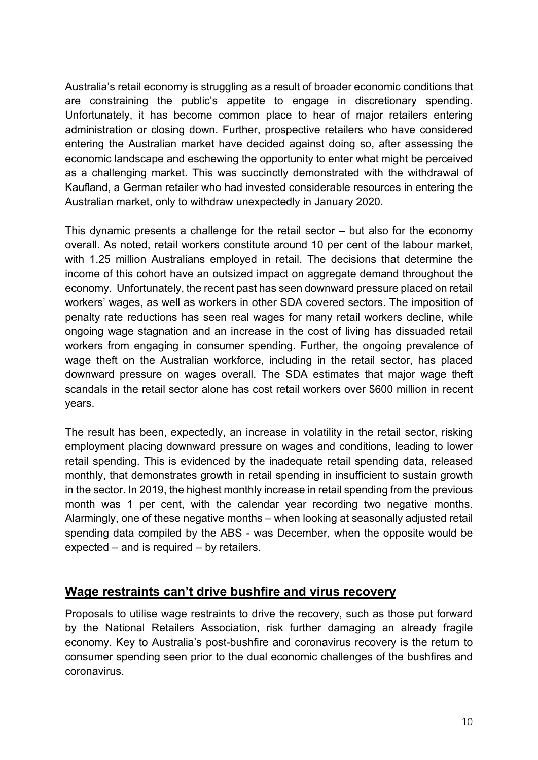Australia's retail economy is struggling as a result of broader economic conditions that are constraining the public's appetite to engage in discretionary spending. Unfortunately, it has become common place to hear of major retailers entering administration or closing down. Further, prospective retailers who have considered entering the Australian market have decided against doing so, after assessing the economic landscape and eschewing the opportunity to enter what might be perceived as a challenging market. This was succinctly demonstrated with the withdrawal of Kaufland, a German retailer who had invested considerable resources in entering the Australian market, only to withdraw unexpectedly in January 2020.

This dynamic presents a challenge for the retail sector – but also for the economy overall. As noted, retail workers constitute around 10 per cent of the labour market, with 1.25 million Australians employed in retail. The decisions that determine the income of this cohort have an outsized impact on aggregate demand throughout the economy. Unfortunately, the recent past has seen downward pressure placed on retail workers' wages, as well as workers in other SDA covered sectors. The imposition of penalty rate reductions has seen real wages for many retail workers decline, while ongoing wage stagnation and an increase in the cost of living has dissuaded retail workers from engaging in consumer spending. Further, the ongoing prevalence of wage theft on the Australian workforce, including in the retail sector, has placed downward pressure on wages overall. The SDA estimates that major wage theft scandals in the retail sector alone has cost retail workers over \$600 million in recent years.

The result has been, expectedly, an increase in volatility in the retail sector, risking employment placing downward pressure on wages and conditions, leading to lower retail spending. This is evidenced by the inadequate retail spending data, released monthly, that demonstrates growth in retail spending in insufficient to sustain growth in the sector. In 2019, the highest monthly increase in retail spending from the previous month was 1 per cent, with the calendar year recording two negative months. Alarmingly, one of these negative months – when looking at seasonally adjusted retail spending data compiled by the ABS - was December, when the opposite would be expected – and is required – by retailers.

### **Wage restraints can't drive bushfire and virus recovery**

Proposals to utilise wage restraints to drive the recovery, such as those put forward by the National Retailers Association, risk further damaging an already fragile economy. Key to Australia's post-bushfire and coronavirus recovery is the return to consumer spending seen prior to the dual economic challenges of the bushfires and coronavirus.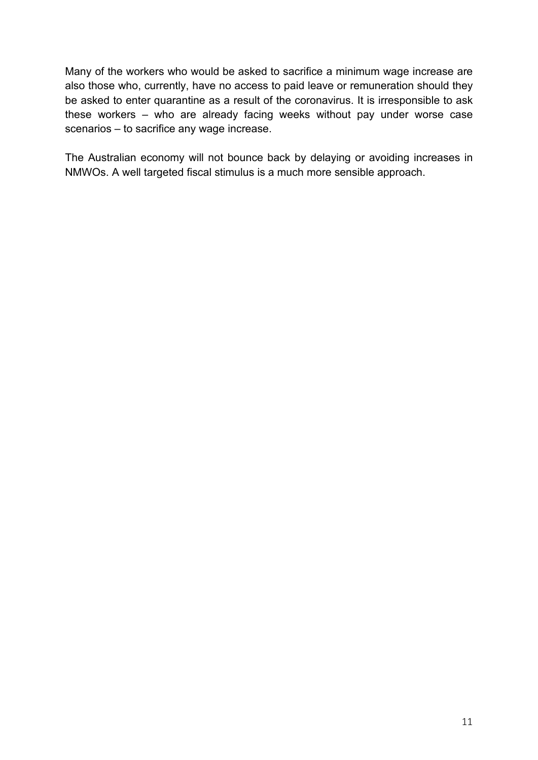Many of the workers who would be asked to sacrifice a minimum wage increase are also those who, currently, have no access to paid leave or remuneration should they be asked to enter quarantine as a result of the coronavirus. It is irresponsible to ask these workers – who are already facing weeks without pay under worse case scenarios – to sacrifice any wage increase.

The Australian economy will not bounce back by delaying or avoiding increases in NMWOs. A well targeted fiscal stimulus is a much more sensible approach.